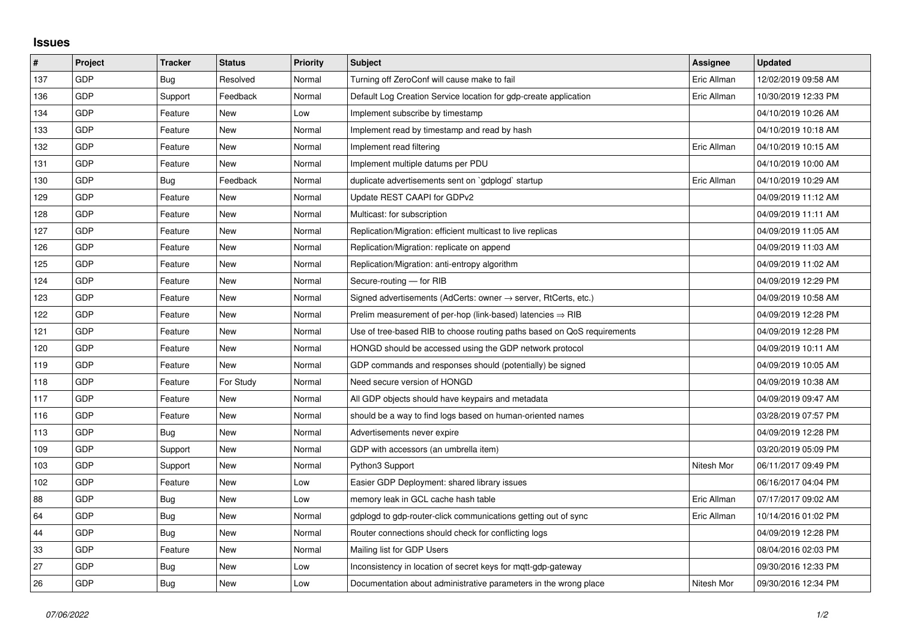## **Issues**

| $\sharp$ | <b>Project</b> | <b>Tracker</b> | <b>Status</b> | <b>Priority</b> | <b>Subject</b>                                                             | Assignee    | <b>Updated</b>      |
|----------|----------------|----------------|---------------|-----------------|----------------------------------------------------------------------------|-------------|---------------------|
| 137      | GDP            | Bug            | Resolved      | Normal          | Turning off ZeroConf will cause make to fail                               | Eric Allman | 12/02/2019 09:58 AM |
| 136      | <b>GDP</b>     | Support        | Feedback      | Normal          | Default Log Creation Service location for gdp-create application           | Eric Allman | 10/30/2019 12:33 PM |
| 134      | <b>GDP</b>     | Feature        | <b>New</b>    | Low             | Implement subscribe by timestamp                                           |             | 04/10/2019 10:26 AM |
| 133      | GDP            | Feature        | <b>New</b>    | Normal          | Implement read by timestamp and read by hash                               |             | 04/10/2019 10:18 AM |
| 132      | <b>GDP</b>     | Feature        | <b>New</b>    | Normal          | Implement read filtering                                                   | Eric Allman | 04/10/2019 10:15 AM |
| 131      | <b>GDP</b>     | Feature        | <b>New</b>    | Normal          | Implement multiple datums per PDU                                          |             | 04/10/2019 10:00 AM |
| 130      | GDP            | <b>Bug</b>     | Feedback      | Normal          | duplicate advertisements sent on `gdplogd` startup                         | Eric Allman | 04/10/2019 10:29 AM |
| 129      | GDP            | Feature        | <b>New</b>    | Normal          | Update REST CAAPI for GDPv2                                                |             | 04/09/2019 11:12 AM |
| 128      | <b>GDP</b>     | Feature        | <b>New</b>    | Normal          | Multicast: for subscription                                                |             | 04/09/2019 11:11 AM |
| 127      | <b>GDP</b>     | Feature        | <b>New</b>    | Normal          | Replication/Migration: efficient multicast to live replicas                |             | 04/09/2019 11:05 AM |
| 126      | <b>GDP</b>     | Feature        | <b>New</b>    | Normal          | Replication/Migration: replicate on append                                 |             | 04/09/2019 11:03 AM |
| 125      | <b>GDP</b>     | Feature        | <b>New</b>    | Normal          | Replication/Migration: anti-entropy algorithm                              |             | 04/09/2019 11:02 AM |
| 124      | <b>GDP</b>     | Feature        | New           | Normal          | Secure-routing - for RIB                                                   |             | 04/09/2019 12:29 PM |
| 123      | <b>GDP</b>     | Feature        | <b>New</b>    | Normal          | Signed advertisements (AdCerts: owner $\rightarrow$ server, RtCerts, etc.) |             | 04/09/2019 10:58 AM |
| 122      | <b>GDP</b>     | Feature        | <b>New</b>    | Normal          | Prelim measurement of per-hop (link-based) latencies $\Rightarrow$ RIB     |             | 04/09/2019 12:28 PM |
| 121      | <b>GDP</b>     | Feature        | <b>New</b>    | Normal          | Use of tree-based RIB to choose routing paths based on QoS requirements    |             | 04/09/2019 12:28 PM |
| 120      | GDP            | Feature        | <b>New</b>    | Normal          | HONGD should be accessed using the GDP network protocol                    |             | 04/09/2019 10:11 AM |
| 119      | <b>GDP</b>     | Feature        | <b>New</b>    | Normal          | GDP commands and responses should (potentially) be signed                  |             | 04/09/2019 10:05 AM |
| 118      | <b>GDP</b>     | Feature        | For Study     | Normal          | Need secure version of HONGD                                               |             | 04/09/2019 10:38 AM |
| 117      | GDP            | Feature        | <b>New</b>    | Normal          | All GDP objects should have keypairs and metadata                          |             | 04/09/2019 09:47 AM |
| 116      | <b>GDP</b>     | Feature        | <b>New</b>    | Normal          | should be a way to find logs based on human-oriented names                 |             | 03/28/2019 07:57 PM |
| 113      | <b>GDP</b>     | Bug            | New           | Normal          | Advertisements never expire                                                |             | 04/09/2019 12:28 PM |
| 109      | <b>GDP</b>     | Support        | <b>New</b>    | Normal          | GDP with accessors (an umbrella item)                                      |             | 03/20/2019 05:09 PM |
| 103      | <b>GDP</b>     | Support        | <b>New</b>    | Normal          | Python3 Support                                                            | Nitesh Mor  | 06/11/2017 09:49 PM |
| 102      | <b>GDP</b>     | Feature        | <b>New</b>    | Low             | Easier GDP Deployment: shared library issues                               |             | 06/16/2017 04:04 PM |
| 88       | <b>GDP</b>     | Bug            | <b>New</b>    | Low             | memory leak in GCL cache hash table                                        | Eric Allman | 07/17/2017 09:02 AM |
| 64       | <b>GDP</b>     | Bug            | <b>New</b>    | Normal          | gdplogd to gdp-router-click communications getting out of sync             | Eric Allman | 10/14/2016 01:02 PM |
| 44       | <b>GDP</b>     | Bug            | <b>New</b>    | Normal          | Router connections should check for conflicting logs                       |             | 04/09/2019 12:28 PM |
| 33       | <b>GDP</b>     | Feature        | <b>New</b>    | Normal          | Mailing list for GDP Users                                                 |             | 08/04/2016 02:03 PM |
| 27       | GDP            | Bug            | <b>New</b>    | Low             | Inconsistency in location of secret keys for mqtt-gdp-gateway              |             | 09/30/2016 12:33 PM |
| 26       | GDP            | Bug            | New           | Low             | Documentation about administrative parameters in the wrong place           | Nitesh Mor  | 09/30/2016 12:34 PM |